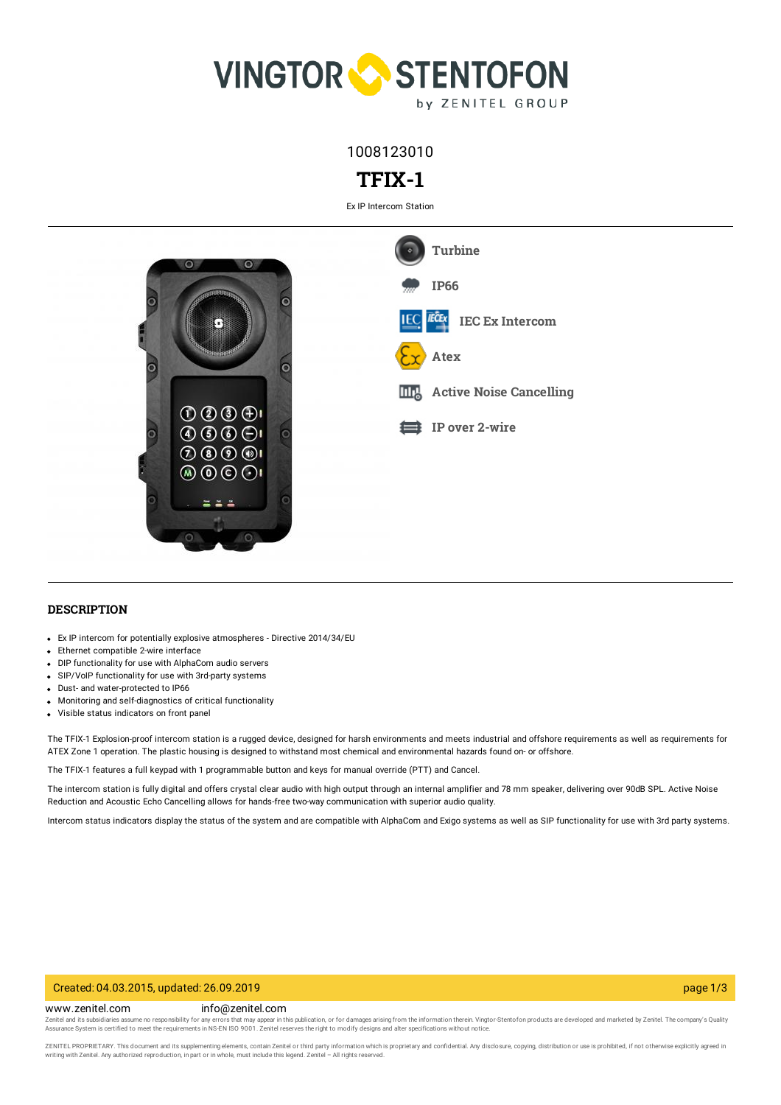

1008123010

# **TFIX-1**

Ex IP Intercom Station



## **DESCRIPTION**

- Ex IP intercom for potentially explosive atmospheres Directive 2014/34/EU
- Ethernet compatible 2-wire interface
- DIP functionality for use with AlphaCom audio servers
- SIP/VoIP functionality for use with 3rd-party systems
- Dust- and water-protected to IP66
- Monitoring and self-diagnostics of critical functionality
- Visible status indicators on front panel

The TFIX-1 Explosion-proof intercom station is a rugged device, designed for harsh environments and meets industrial and offshore requirements as well as requirements for ATEX Zone 1 operation. The plastic housing is designed to withstand most chemical and environmental hazards found on- or offshore.

The TFIX-1 features a full keypad with 1 programmable button and keys for manual override (PTT) and Cancel.

The intercom station is fully digital and offers crystal clear audio with high output through an internal amplifier and 78 mm speaker, delivering over 90dB SPL. Active Noise Reduction and Acoustic Echo Cancelling allows for hands-free two-way communication with superior audio quality.

Intercom status indicators display the status of the system and are compatible with AlphaCom and Exigo systems as well as SIP functionality for use with 3rd party systems.

#### Created: 04.03.2015, updated: 26.09.2019 page 1/3

www.zenitel.com info@zenitel.com

Zenitel and its subsidiaries assume no responsibility for any errors that may appear in this publication, or for damages arising from the information therein. Vingtor-Stentofon products are developed and marketed by Zenite

ZENITEL PROPRIETARY. This document and its supplementing elements, contain Zenitel or third party information which is proprietary and confidential. Any disclosure, copying, distribution or use is prohibited, if not otherw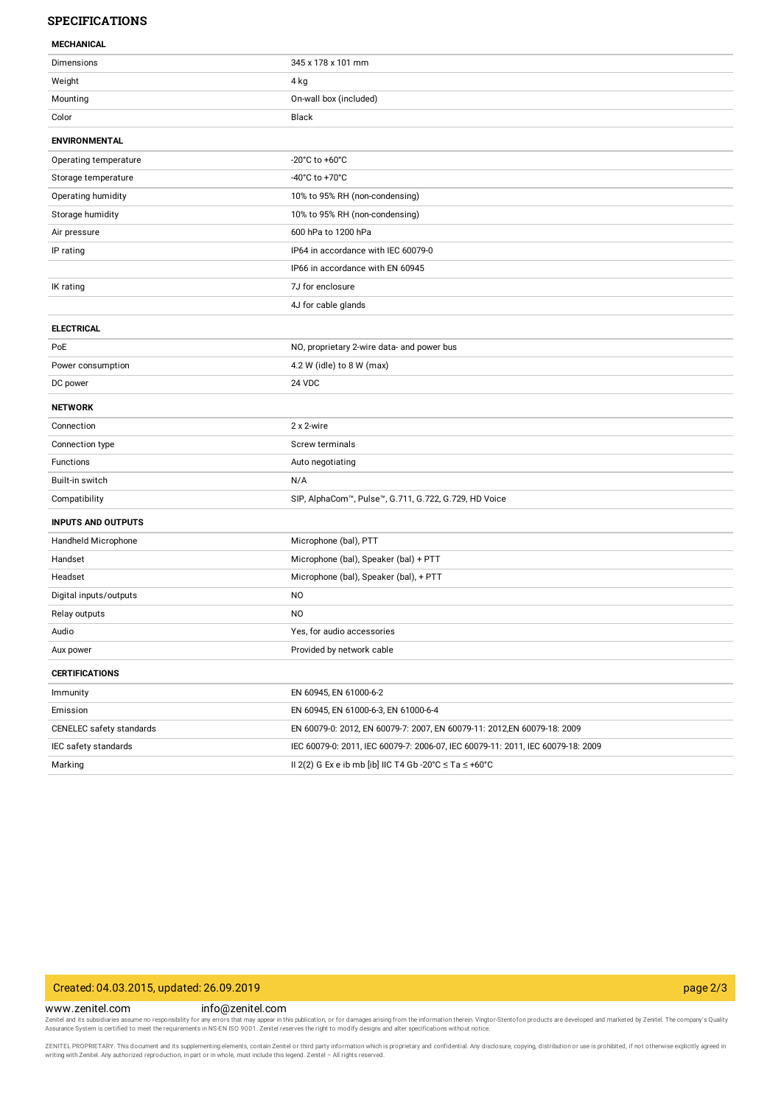### **SPECIFICATIONS**

### **MECHANICAL**

| MEVONIVAL                 |                                                                                 |
|---------------------------|---------------------------------------------------------------------------------|
| Dimensions                | 345 x 178 x 101 mm                                                              |
| Weight                    | 4 kg                                                                            |
| Mounting                  | On-wall box (included)                                                          |
| Color                     | Black                                                                           |
| <b>ENVIRONMENTAL</b>      |                                                                                 |
| Operating temperature     | -20 $^{\circ}$ C to +60 $^{\circ}$ C                                            |
| Storage temperature       | -40°C to +70°C                                                                  |
| Operating humidity        | 10% to 95% RH (non-condensing)                                                  |
| Storage humidity          | 10% to 95% RH (non-condensing)                                                  |
| Air pressure              | 600 hPa to 1200 hPa                                                             |
| IP rating                 | IP64 in accordance with IEC 60079-0                                             |
|                           | IP66 in accordance with EN 60945                                                |
| IK rating                 | 7J for enclosure                                                                |
|                           | 4J for cable glands                                                             |
| <b>ELECTRICAL</b>         |                                                                                 |
| PoE                       | NO, proprietary 2-wire data- and power bus                                      |
| Power consumption         | 4.2 W (idle) to 8 W (max)                                                       |
| DC power                  | <b>24 VDC</b>                                                                   |
| <b>NETWORK</b>            |                                                                                 |
| Connection                | 2 x 2-wire                                                                      |
| Connection type           | Screw terminals                                                                 |
| Functions                 | Auto negotiating                                                                |
| Built-in switch           | N/A                                                                             |
| Compatibility             | SIP, AlphaCom™, Pulse™, G.711, G.722, G.729, HD Voice                           |
| <b>INPUTS AND OUTPUTS</b> |                                                                                 |
| Handheld Microphone       | Microphone (bal), PTT                                                           |
| Handset                   | Microphone (bal), Speaker (bal) + PTT                                           |
| Headset                   | Microphone (bal), Speaker (bal), + PTT                                          |
| Digital inputs/outputs    | N <sub>O</sub>                                                                  |
| Relay outputs             | NO.                                                                             |
| Audio                     | Yes, for audio accessories                                                      |
| Aux power                 | Provided by network cable                                                       |
| <b>CERTIFICATIONS</b>     |                                                                                 |
| Immunity                  | EN 60945, EN 61000-6-2                                                          |
| Emission                  | EN 60945, EN 61000-6-3, EN 61000-6-4                                            |
| CENELEC safety standards  | EN 60079-0: 2012, EN 60079-7: 2007, EN 60079-11: 2012, EN 60079-18: 2009        |
| IEC safety standards      | IEC 60079-0: 2011, IEC 60079-7: 2006-07, IEC 60079-11: 2011, IEC 60079-18: 2009 |
| Marking                   | II 2(2) G Ex e ib mb [ib] IIC T4 Gb -20°C $\leq$ Ta $\leq$ +60°C                |

# Created: 04.03.2015, updated: 26.09.2019 page 2/3

#### www.zenitel.com info@zenitel.com

Zenitel and its subsidiaries assume no responsibility for any errors that may appear in this publication, or for damages arising from the information therein. Vingtor-Stentofon products are developed and marketed by Zenite

ZENITEL PROPRIETARY. This document and its supplementing elements, contain Zenitel or third party information which is proprietary and confidential. Any disclosure, copying, distribution or use is prohibited, if not otherw